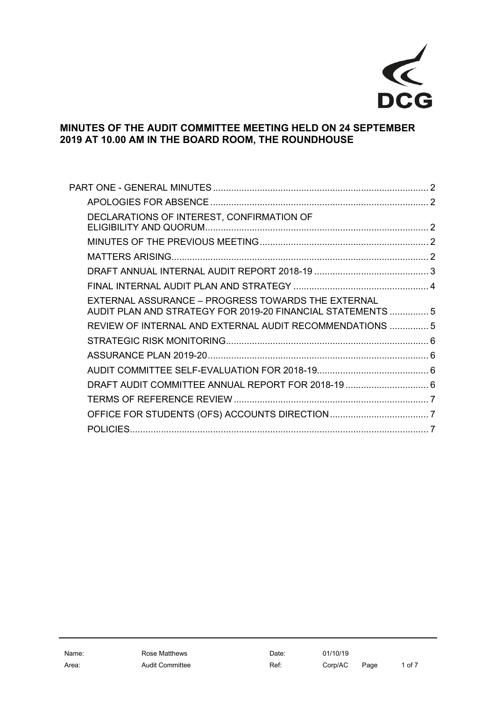

# **MINUTES OF THE AUDIT COMMITTEE MEETING HELD ON 24 SEPTEMBER 2019 AT 10.00 AM IN THE BOARD ROOM, THE ROUNDHOUSE**

| DECLARATIONS OF INTEREST, CONFIRMATION OF                                                                         |  |
|-------------------------------------------------------------------------------------------------------------------|--|
|                                                                                                                   |  |
|                                                                                                                   |  |
|                                                                                                                   |  |
|                                                                                                                   |  |
| EXTERNAL ASSURANCE - PROGRESS TOWARDS THE EXTERNAL<br>AUDIT PLAN AND STRATEGY FOR 2019-20 FINANCIAL STATEMENTS  5 |  |
| REVIEW OF INTERNAL AND EXTERNAL AUDIT RECOMMENDATIONS  5                                                          |  |
|                                                                                                                   |  |
|                                                                                                                   |  |
|                                                                                                                   |  |
| DRAFT AUDIT COMMITTEE ANNUAL REPORT FOR 2018-19  6                                                                |  |
|                                                                                                                   |  |
|                                                                                                                   |  |
|                                                                                                                   |  |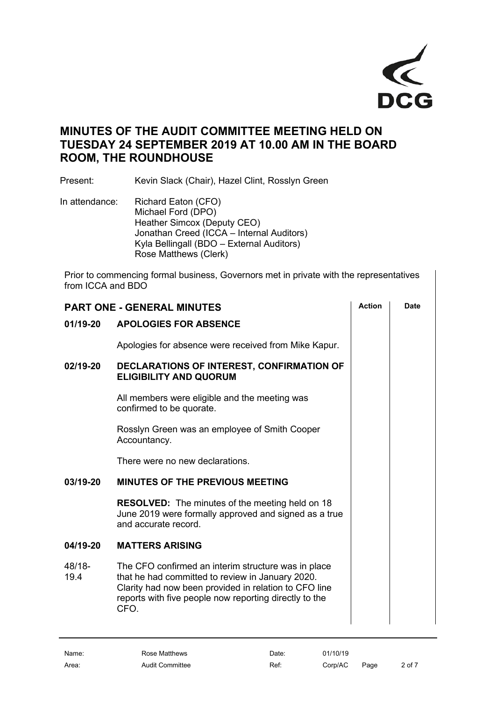

# **MINUTES OF THE AUDIT COMMITTEE MEETING HELD ON TUESDAY 24 SEPTEMBER 2019 AT 10.00 AM IN THE BOARD ROOM, THE ROUNDHOUSE**

Present: Kevin Slack (Chair), Hazel Clint, Rosslyn Green

In attendance: Richard Eaton (CFO) Michael Ford (DPO) Heather Simcox (Deputy CEO) Jonathan Creed (ICCA – Internal Auditors) Kyla Bellingall (BDO – External Auditors) Rose Matthews (Clerk)

Prior to commencing formal business, Governors met in private with the representatives from ICCA and BDO

<span id="page-1-4"></span><span id="page-1-3"></span><span id="page-1-2"></span><span id="page-1-1"></span><span id="page-1-0"></span>

| <b>PART ONE - GENERAL MINUTES</b> |                                                                                                                                                                                                                                    |  | <b>Date</b> |
|-----------------------------------|------------------------------------------------------------------------------------------------------------------------------------------------------------------------------------------------------------------------------------|--|-------------|
| 01/19-20                          | <b>APOLOGIES FOR ABSENCE</b>                                                                                                                                                                                                       |  |             |
|                                   | Apologies for absence were received from Mike Kapur.                                                                                                                                                                               |  |             |
| 02/19-20                          | DECLARATIONS OF INTEREST, CONFIRMATION OF<br><b>ELIGIBILITY AND QUORUM</b>                                                                                                                                                         |  |             |
|                                   | All members were eligible and the meeting was<br>confirmed to be quorate.                                                                                                                                                          |  |             |
|                                   | Rosslyn Green was an employee of Smith Cooper<br>Accountancy.                                                                                                                                                                      |  |             |
|                                   | There were no new declarations.                                                                                                                                                                                                    |  |             |
| 03/19-20                          | <b>MINUTES OF THE PREVIOUS MEETING</b>                                                                                                                                                                                             |  |             |
|                                   | <b>RESOLVED:</b> The minutes of the meeting held on 18<br>June 2019 were formally approved and signed as a true<br>and accurate record.                                                                                            |  |             |
| 04/19-20                          | <b>MATTERS ARISING</b>                                                                                                                                                                                                             |  |             |
| 48/18-<br>19.4                    | The CFO confirmed an interim structure was in place<br>that he had committed to review in January 2020.<br>Clarity had now been provided in relation to CFO line<br>reports with five people now reporting directly to the<br>CFO. |  |             |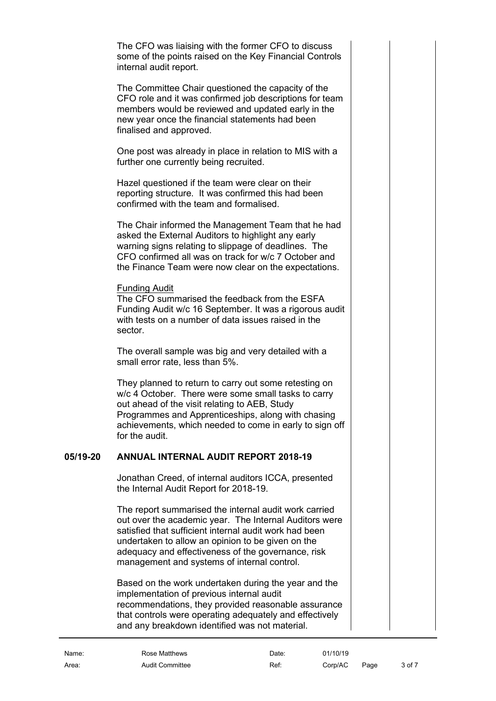The CFO was liaising with the former CFO to discuss some of the points raised on the Key Financial Controls internal audit report.

The Committee Chair questioned the capacity of the CFO role and it was confirmed job descriptions for team members would be reviewed and updated early in the new year once the financial statements had been finalised and approved.

One post was already in place in relation to MIS with a further one currently being recruited.

Hazel questioned if the team were clear on their reporting structure. It was confirmed this had been confirmed with the team and formalised.

The Chair informed the Management Team that he had asked the External Auditors to highlight any early warning signs relating to slippage of deadlines. The CFO confirmed all was on track for w/c 7 October and the Finance Team were now clear on the expectations.

#### Funding Audit

The CFO summarised the feedback from the ESFA Funding Audit w/c 16 September. It was a rigorous audit with tests on a number of data issues raised in the sector.

The overall sample was big and very detailed with a small error rate, less than 5%.

They planned to return to carry out some retesting on w/c 4 October. There were some small tasks to carry out ahead of the visit relating to AEB, Study Programmes and Apprenticeships, along with chasing achievements, which needed to come in early to sign off for the audit.

## **05/19-20 ANNUAL INTERNAL AUDIT REPORT 2018-19**

<span id="page-2-0"></span>Jonathan Creed, of internal auditors ICCA, presented the Internal Audit Report for 2018-19.

The report summarised the internal audit work carried out over the academic year. The Internal Auditors were satisfied that sufficient internal audit work had been undertaken to allow an opinion to be given on the adequacy and effectiveness of the governance, risk management and systems of internal control.

Based on the work undertaken during the year and the implementation of previous internal audit recommendations, they provided reasonable assurance that controls were operating adequately and effectively and any breakdown identified was not material.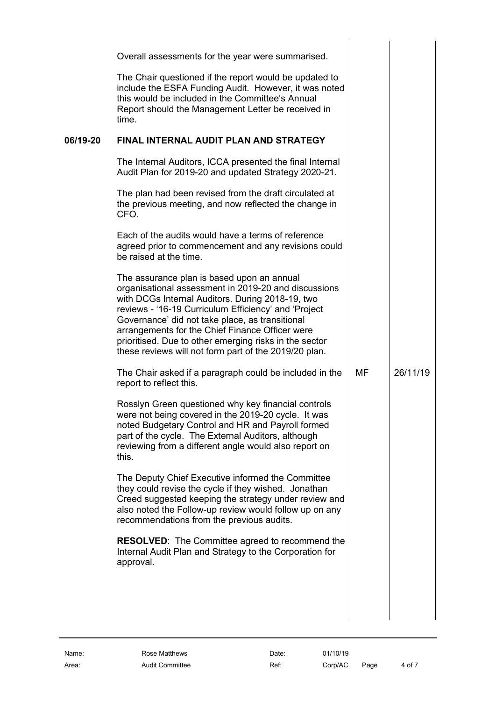<span id="page-3-0"></span>

|          | Overall assessments for the year were summarised.                                                                                                                                                                                                                                                                                                                                                                                       |    |          |
|----------|-----------------------------------------------------------------------------------------------------------------------------------------------------------------------------------------------------------------------------------------------------------------------------------------------------------------------------------------------------------------------------------------------------------------------------------------|----|----------|
|          | The Chair questioned if the report would be updated to<br>include the ESFA Funding Audit. However, it was noted<br>this would be included in the Committee's Annual<br>Report should the Management Letter be received in<br>time.                                                                                                                                                                                                      |    |          |
| 06/19-20 | FINAL INTERNAL AUDIT PLAN AND STRATEGY                                                                                                                                                                                                                                                                                                                                                                                                  |    |          |
|          | The Internal Auditors, ICCA presented the final Internal<br>Audit Plan for 2019-20 and updated Strategy 2020-21.                                                                                                                                                                                                                                                                                                                        |    |          |
|          | The plan had been revised from the draft circulated at<br>the previous meeting, and now reflected the change in<br>CFO.                                                                                                                                                                                                                                                                                                                 |    |          |
|          | Each of the audits would have a terms of reference<br>agreed prior to commencement and any revisions could<br>be raised at the time.                                                                                                                                                                                                                                                                                                    |    |          |
|          | The assurance plan is based upon an annual<br>organisational assessment in 2019-20 and discussions<br>with DCGs Internal Auditors. During 2018-19, two<br>reviews - '16-19 Curriculum Efficiency' and 'Project<br>Governance' did not take place, as transitional<br>arrangements for the Chief Finance Officer were<br>prioritised. Due to other emerging risks in the sector<br>these reviews will not form part of the 2019/20 plan. |    |          |
|          | The Chair asked if a paragraph could be included in the<br>report to reflect this.                                                                                                                                                                                                                                                                                                                                                      | МF | 26/11/19 |
|          | Rosslyn Green questioned why key financial controls<br>were not being covered in the 2019-20 cycle. It was<br>noted Budgetary Control and HR and Payroll formed<br>part of the cycle. The External Auditors, although<br>reviewing from a different angle would also report on<br>this.                                                                                                                                                 |    |          |
|          | The Deputy Chief Executive informed the Committee<br>they could revise the cycle if they wished. Jonathan<br>Creed suggested keeping the strategy under review and<br>also noted the Follow-up review would follow up on any<br>recommendations from the previous audits.                                                                                                                                                               |    |          |
|          | <b>RESOLVED:</b> The Committee agreed to recommend the<br>Internal Audit Plan and Strategy to the Corporation for<br>approval.                                                                                                                                                                                                                                                                                                          |    |          |
|          |                                                                                                                                                                                                                                                                                                                                                                                                                                         |    |          |
|          |                                                                                                                                                                                                                                                                                                                                                                                                                                         |    |          |
|          |                                                                                                                                                                                                                                                                                                                                                                                                                                         |    |          |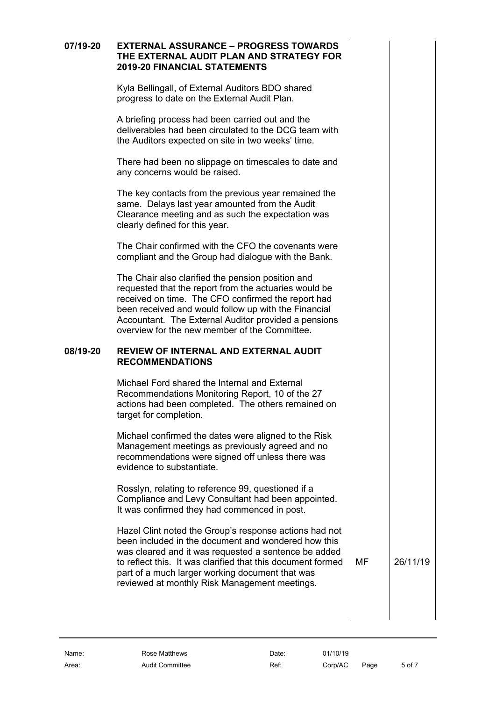## **07/19-20 EXTERNAL ASSURANCE – PROGRESS TOWARDS THE EXTERNAL AUDIT PLAN AND STRATEGY FOR 2019-20 FINANCIAL STATEMENTS**

<span id="page-4-0"></span>Kyla Bellingall, of External Auditors BDO shared progress to date on the External Audit Plan.

A briefing process had been carried out and the deliverables had been circulated to the DCG team with the Auditors expected on site in two weeks' time.

There had been no slippage on timescales to date and any concerns would be raised.

The key contacts from the previous year remained the same. Delays last year amounted from the Audit Clearance meeting and as such the expectation was clearly defined for this year.

The Chair confirmed with the CFO the covenants were compliant and the Group had dialogue with the Bank.

The Chair also clarified the pension position and requested that the report from the actuaries would be received on time. The CFO confirmed the report had been received and would follow up with the Financial Accountant. The External Auditor provided a pensions overview for the new member of the Committee.

#### **08/19-20 REVIEW OF INTERNAL AND EXTERNAL AUDIT RECOMMENDATIONS**

<span id="page-4-1"></span>Michael Ford shared the Internal and External Recommendations Monitoring Report, 10 of the 27 actions had been completed. The others remained on target for completion.

Michael confirmed the dates were aligned to the Risk Management meetings as previously agreed and no recommendations were signed off unless there was evidence to substantiate.

Rosslyn, relating to reference 99, questioned if a Compliance and Levy Consultant had been appointed. It was confirmed they had commenced in post.

Hazel Clint noted the Group's response actions had not been included in the document and wondered how this was cleared and it was requested a sentence be added to reflect this. It was clarified that this document formed part of a much larger working document that was reviewed at monthly Risk Management meetings.

MF 26/11/19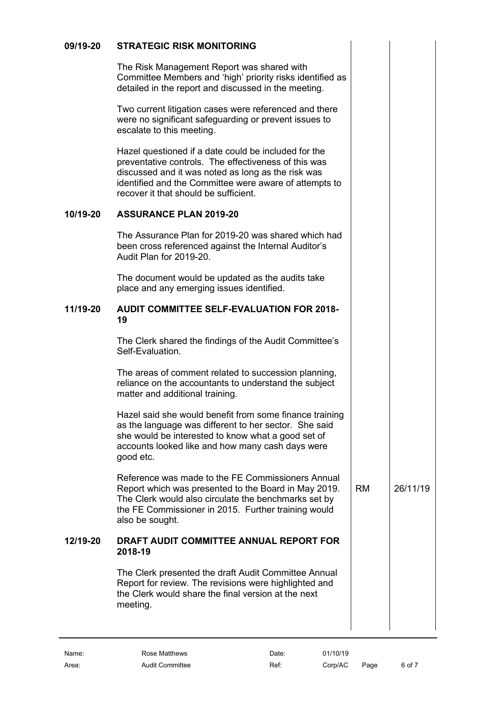# **09/19-20 STRATEGIC RISK MONITORING**

<span id="page-5-0"></span>The Risk Management Report was shared with Committee Members and 'high' priority risks identified as detailed in the report and discussed in the meeting.

Two current litigation cases were referenced and there were no significant safeguarding or prevent issues to escalate to this meeting.

Hazel questioned if a date could be included for the preventative controls. The effectiveness of this was discussed and it was noted as long as the risk was identified and the Committee were aware of attempts to recover it that should be sufficient.

# **10/19-20 ASSURANCE PLAN 2019-20**

<span id="page-5-1"></span>The Assurance Plan for 2019-20 was shared which had been cross referenced against the Internal Auditor's Audit Plan for 2019-20.

The document would be updated as the audits take place and any emerging issues identified.

#### **11/19-20 AUDIT COMMITTEE SELF-EVALUATION FOR 2018- 19**

<span id="page-5-2"></span>The Clerk shared the findings of the Audit Committee's Self-Evaluation.

The areas of comment related to succession planning, reliance on the accountants to understand the subject matter and additional training.

Hazel said she would benefit from some finance training as the language was different to her sector. She said she would be interested to know what a good set of accounts looked like and how many cash days were good etc.

Reference was made to the FE Commissioners Annual Report which was presented to the Board in May 2019. The Clerk would also circulate the benchmarks set by the FE Commissioner in 2015. Further training would also be sought. RM 26/11/19

## **12/19-20 DRAFT AUDIT COMMITTEE ANNUAL REPORT FOR 2018-19**

<span id="page-5-3"></span>The Clerk presented the draft Audit Committee Annual Report for review. The revisions were highlighted and the Clerk would share the final version at the next meeting.